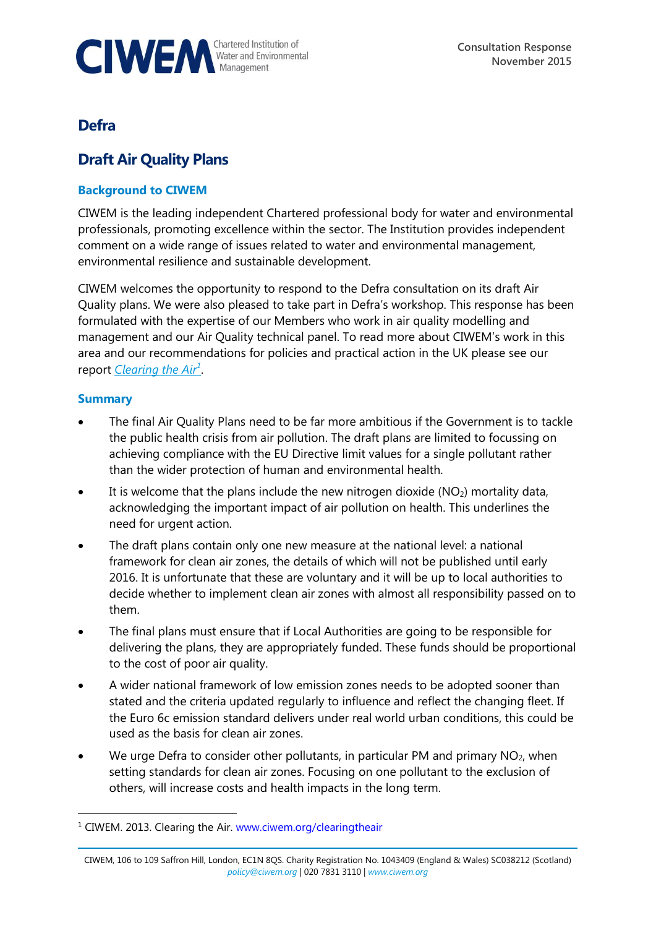

## **Defra**

# **Draft Air Quality Plans**

## **Background to CIWEM**

CIWEM is the leading independent Chartered professional body for water and environmental professionals, promoting excellence within the sector. The Institution provides independent comment on a wide range of issues related to water and environmental management, environmental resilience and sustainable development.

CIWEM welcomes the opportunity to respond to the Defra consultation on its draft Air Quality plans. We were also pleased to take part in Defra's workshop. This response has been formulated with the expertise of our Members who work in air quality modelling and management and our Air Quality technical panel. To read more about CIWEM's work in this area and our recommendations for policies and practical action in the UK please see our report *[Clearing the Air](http://www.ciwem.org/media/954014/Clearing%20the%20Air_Web.pdf)<sup>1</sup>* .

## **Summary**

 $\overline{a}$ 

- The final Air Quality Plans need to be far more ambitious if the Government is to tackle the public health crisis from air pollution. The draft plans are limited to focussing on achieving compliance with the EU Directive limit values for a single pollutant rather than the wider protection of human and environmental health.
- $\bullet$  It is welcome that the plans include the new nitrogen dioxide (NO<sub>2</sub>) mortality data, acknowledging the important impact of air pollution on health. This underlines the need for urgent action.
- The draft plans contain only one new measure at the national level: a national framework for clean air zones, the details of which will not be published until early 2016. It is unfortunate that these are voluntary and it will be up to local authorities to decide whether to implement clean air zones with almost all responsibility passed on to them.
- The final plans must ensure that if Local Authorities are going to be responsible for delivering the plans, they are appropriately funded. These funds should be proportional to the cost of poor air quality.
- A wider national framework of low emission zones needs to be adopted sooner than stated and the criteria updated regularly to influence and reflect the changing fleet. If the Euro 6c emission standard delivers under real world urban conditions, this could be used as the basis for clean air zones.
- We urge Defra to consider other pollutants, in particular PM and primary  $NO<sub>2</sub>$ , when setting standards for clean air zones. Focusing on one pollutant to the exclusion of others, will increase costs and health impacts in the long term.

<sup>&</sup>lt;sup>1</sup> CIWEM. 2013. Clearing the Air. [www.ciwem.org/clearingtheair](http://www.ciwem.org/clearingtheair)

CIWEM, 106 to 109 Saffron Hill, London, EC1N 8QS. Charity Registration No. 1043409 (England & Wales) SC038212 (Scotland) *[policy@ciwem.org](mailto:policy@ciwem.org)* | 020 7831 3110 | *[www.ciwem.org](http://www.ciwem.org/)*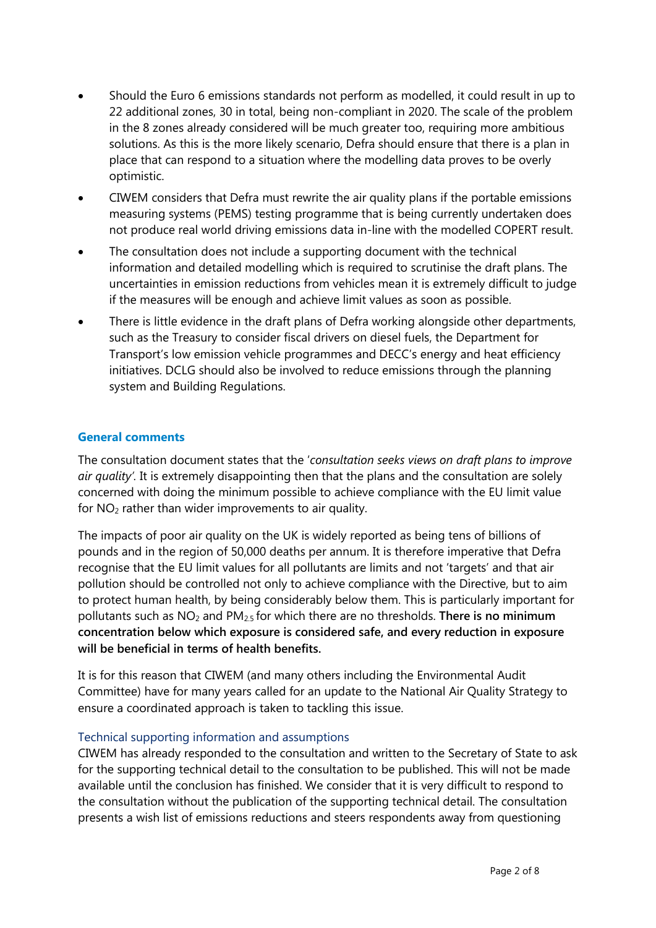- Should the Euro 6 emissions standards not perform as modelled, it could result in up to 22 additional zones, 30 in total, being non-compliant in 2020. The scale of the problem in the 8 zones already considered will be much greater too, requiring more ambitious solutions. As this is the more likely scenario, Defra should ensure that there is a plan in place that can respond to a situation where the modelling data proves to be overly optimistic.
- CIWEM considers that Defra must rewrite the air quality plans if the portable emissions measuring systems (PEMS) testing programme that is being currently undertaken does not produce real world driving emissions data in-line with the modelled COPERT result.
- The consultation does not include a supporting document with the technical information and detailed modelling which is required to scrutinise the draft plans. The uncertainties in emission reductions from vehicles mean it is extremely difficult to judge if the measures will be enough and achieve limit values as soon as possible.
- There is little evidence in the draft plans of Defra working alongside other departments, such as the Treasury to consider fiscal drivers on diesel fuels, the Department for Transport's low emission vehicle programmes and DECC's energy and heat efficiency initiatives. DCLG should also be involved to reduce emissions through the planning system and Building Regulations.

#### **General comments**

The consultation document states that the '*consultation seeks views on draft plans to improve air quality'.* It is extremely disappointing then that the plans and the consultation are solely concerned with doing the minimum possible to achieve compliance with the EU limit value for  $NO<sub>2</sub>$  rather than wider improvements to air quality.

The impacts of poor air quality on the UK is widely reported as being tens of billions of pounds and in the region of 50,000 deaths per annum. It is therefore imperative that Defra recognise that the EU limit values for all pollutants are limits and not 'targets' and that air pollution should be controlled not only to achieve compliance with the Directive, but to aim to protect human health, by being considerably below them. This is particularly important for pollutants such as NO<sup>2</sup> and PM2.5 for which there are no thresholds. **There is no minimum concentration below which exposure is considered safe, and every reduction in exposure will be beneficial in terms of health benefits.** 

It is for this reason that CIWEM (and many others including the Environmental Audit Committee) have for many years called for an update to the National Air Quality Strategy to ensure a coordinated approach is taken to tackling this issue.

#### Technical supporting information and assumptions

CIWEM has already responded to the consultation and written to the Secretary of State to ask for the supporting technical detail to the consultation to be published. This will not be made available until the conclusion has finished. We consider that it is very difficult to respond to the consultation without the publication of the supporting technical detail. The consultation presents a wish list of emissions reductions and steers respondents away from questioning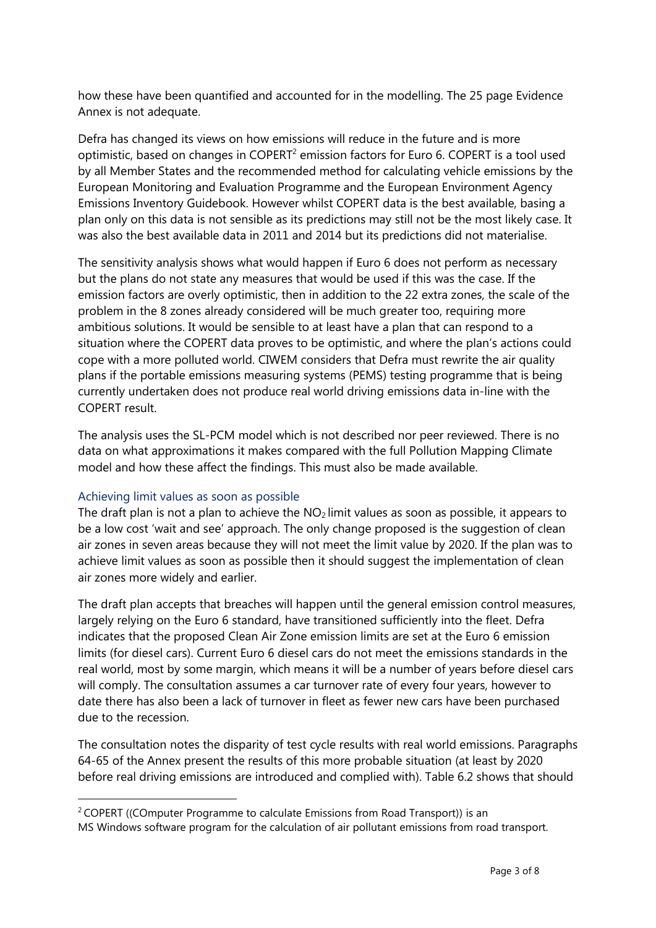how these have been quantified and accounted for in the modelling. The 25 page Evidence Annex is not adequate.

Defra has changed its views on how emissions will reduce in the future and is more optimistic, based on changes in  $\mathsf{COPERT}^2$  emission factors for Euro 6. COPERT is a tool used by all Member States and the recommended method for calculating vehicle emissions by the European Monitoring and Evaluation Programme and the European Environment Agency Emissions Inventory Guidebook. However whilst COPERT data is the best available, basing a plan only on this data is not sensible as its predictions may still not be the most likely case. It was also the best available data in 2011 and 2014 but its predictions did not materialise.

The sensitivity analysis shows what would happen if Euro 6 does not perform as necessary but the plans do not state any measures that would be used if this was the case. If the emission factors are overly optimistic, then in addition to the 22 extra zones, the scale of the problem in the 8 zones already considered will be much greater too, requiring more ambitious solutions. It would be sensible to at least have a plan that can respond to a situation where the COPERT data proves to be optimistic, and where the plan's actions could cope with a more polluted world. CIWEM considers that Defra must rewrite the air quality plans if the portable emissions measuring systems (PEMS) testing programme that is being currently undertaken does not produce real world driving emissions data in-line with the COPERT result.

The analysis uses the SL-PCM model which is not described nor peer reviewed. There is no data on what approximations it makes compared with the full Pollution Mapping Climate model and how these affect the findings. This must also be made available.

#### Achieving limit values as soon as possible

-

The draft plan is not a plan to achieve the  $NO<sub>2</sub>$  limit values as soon as possible, it appears to be a low cost 'wait and see' approach. The only change proposed is the suggestion of clean air zones in seven areas because they will not meet the limit value by 2020. If the plan was to achieve limit values as soon as possible then it should suggest the implementation of clean air zones more widely and earlier.

The draft plan accepts that breaches will happen until the general emission control measures, largely relying on the Euro 6 standard, have transitioned sufficiently into the fleet. Defra indicates that the proposed Clean Air Zone emission limits are set at the Euro 6 emission limits (for diesel cars). Current Euro 6 diesel cars do not meet the emissions standards in the real world, most by some margin, which means it will be a number of years before diesel cars will comply. The consultation assumes a car turnover rate of every four years, however to date there has also been a lack of turnover in fleet as fewer new cars have been purchased due to the recession.

The consultation notes the disparity of test cycle results with real world emissions. Paragraphs 64-65 of the Annex present the results of this more probable situation (at least by 2020 before real driving emissions are introduced and complied with). Table 6.2 shows that should

<sup>&</sup>lt;sup>2</sup> COPERT ((COmputer Programme to calculate Emissions from Road Transport)) is an MS [Windows](https://en.wikipedia.org/wiki/Microsoft_Windows) software program for the calculation of air pollutant [emissions](https://en.wikipedia.org/wiki/Air_pollution) from road transport.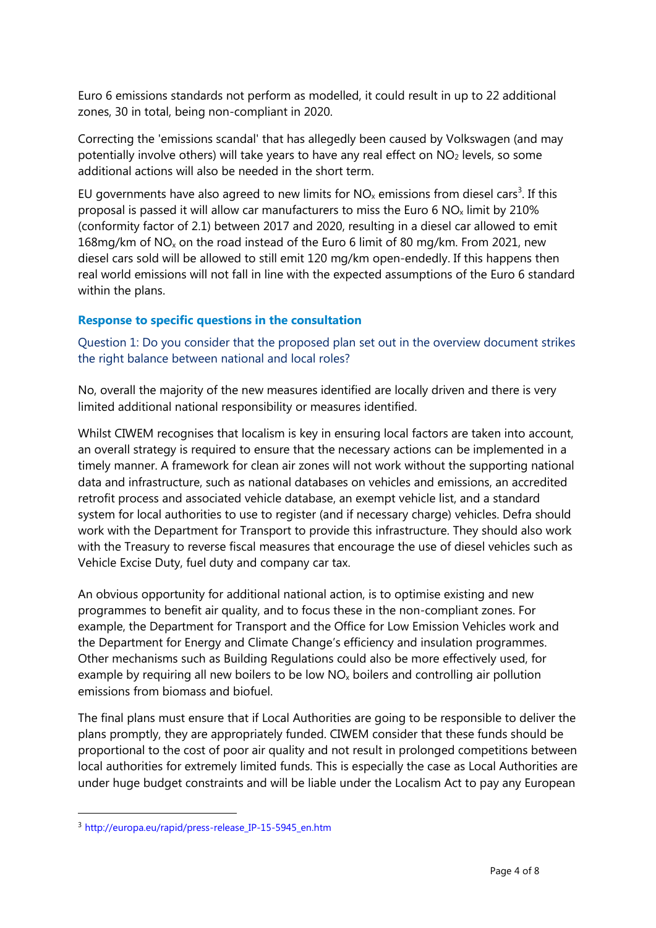Euro 6 emissions standards not perform as modelled, it could result in up to 22 additional zones, 30 in total, being non-compliant in 2020.

Correcting the 'emissions scandal' that has allegedly been caused by Volkswagen (and may potentially involve others) will take years to have any real effect on  $NO<sub>2</sub>$  levels, so some additional actions will also be needed in the short term.

EU governments have also agreed to new limits for  $NO_x$  emissions from diesel cars<sup>3</sup>. If this proposal is passed it will allow car manufacturers to miss the Euro 6  $NO_x$  limit by 210% (conformity factor of 2.1) between 2017 and 2020, resulting in a diesel car allowed to emit 168mg/km of  $NO<sub>x</sub>$  on the road instead of the Euro 6 limit of 80 mg/km. From 2021, new diesel cars sold will be allowed to still emit 120 mg/km open-endedly. If this happens then real world emissions will not fall in line with the expected assumptions of the Euro 6 standard within the plans.

#### **Response to specific questions in the consultation**

Question 1: Do you consider that the proposed plan set out in the overview document strikes the right balance between national and local roles?

No, overall the majority of the new measures identified are locally driven and there is very limited additional national responsibility or measures identified.

Whilst CIWEM recognises that localism is key in ensuring local factors are taken into account, an overall strategy is required to ensure that the necessary actions can be implemented in a timely manner. A framework for clean air zones will not work without the supporting national data and infrastructure, such as national databases on vehicles and emissions, an accredited retrofit process and associated vehicle database, an exempt vehicle list, and a standard system for local authorities to use to register (and if necessary charge) vehicles. Defra should work with the Department for Transport to provide this infrastructure. They should also work with the Treasury to reverse fiscal measures that encourage the use of diesel vehicles such as Vehicle Excise Duty, fuel duty and company car tax.

An obvious opportunity for additional national action, is to optimise existing and new programmes to benefit air quality, and to focus these in the non-compliant zones. For example, the Department for Transport and the Office for Low Emission Vehicles work and the Department for Energy and Climate Change's efficiency and insulation programmes. Other mechanisms such as Building Regulations could also be more effectively used, for example by requiring all new boilers to be low  $NO<sub>x</sub>$  boilers and controlling air pollution emissions from biomass and biofuel.

The final plans must ensure that if Local Authorities are going to be responsible to deliver the plans promptly, they are appropriately funded. CIWEM consider that these funds should be proportional to the cost of poor air quality and not result in prolonged competitions between local authorities for extremely limited funds. This is especially the case as Local Authorities are under huge budget constraints and will be liable under the Localism Act to pay any European

 $\overline{a}$ 

<sup>&</sup>lt;sup>3</sup> http://europa.eu/rapid/press-release IP-15-5945 en.htm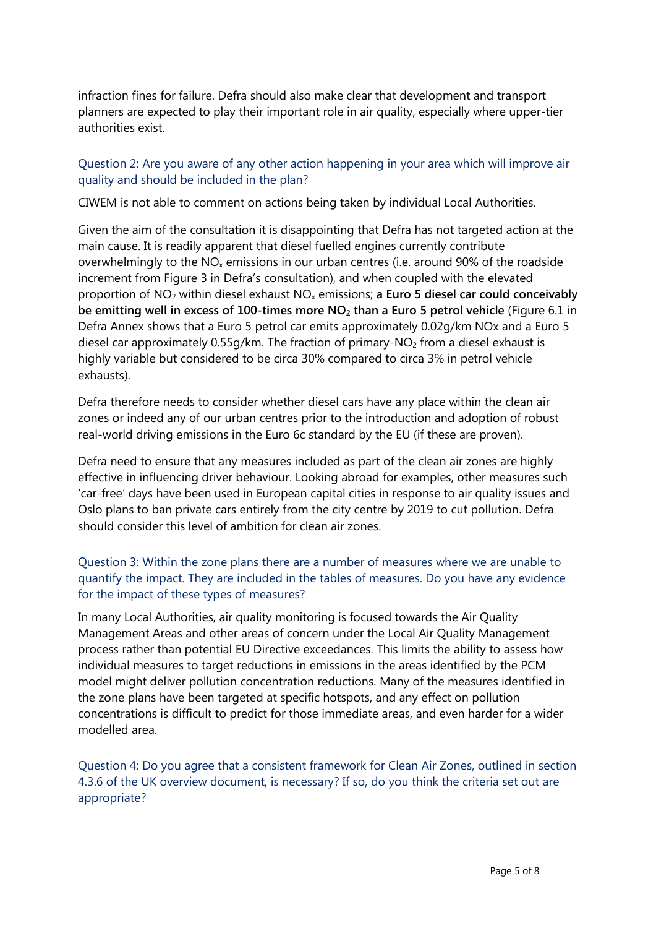infraction fines for failure. Defra should also make clear that development and transport planners are expected to play their important role in air quality, especially where upper-tier authorities exist.

## Question 2: Are you aware of any other action happening in your area which will improve air quality and should be included in the plan?

CIWEM is not able to comment on actions being taken by individual Local Authorities.

Given the aim of the consultation it is disappointing that Defra has not targeted action at the main cause. It is readily apparent that diesel fuelled engines currently contribute overwhelmingly to the  $NO_x$  emissions in our urban centres (i.e. around 90% of the roadside increment from Figure 3 in Defra's consultation), and when coupled with the elevated proportion of NO<sup>2</sup> within diesel exhaust NO<sup>x</sup> emissions; **a Euro 5 diesel car could conceivably be emitting well in excess of 100-times more NO<sup>2</sup> than a Euro 5 petrol vehicle** (Figure 6.1 in Defra Annex shows that a Euro 5 petrol car emits approximately 0.02g/km NOx and a Euro 5 diesel car approximately 0.55g/km. The fraction of primary-NO<sub>2</sub> from a diesel exhaust is highly variable but considered to be circa 30% compared to circa 3% in petrol vehicle exhausts).

Defra therefore needs to consider whether diesel cars have any place within the clean air zones or indeed any of our urban centres prior to the introduction and adoption of robust real-world driving emissions in the Euro 6c standard by the EU (if these are proven).

Defra need to ensure that any measures included as part of the clean air zones are highly effective in influencing driver behaviour. Looking abroad for examples, other measures such 'car-free' days have been used in European capital cities in response to air quality issues and Oslo plans to ban private cars entirely from the city centre by 2019 to cut pollution. Defra should consider this level of ambition for clean air zones.

## Question 3: Within the zone plans there are a number of measures where we are unable to quantify the impact. They are included in the tables of measures. Do you have any evidence for the impact of these types of measures?

In many Local Authorities, air quality monitoring is focused towards the Air Quality Management Areas and other areas of concern under the Local Air Quality Management process rather than potential EU Directive exceedances. This limits the ability to assess how individual measures to target reductions in emissions in the areas identified by the PCM model might deliver pollution concentration reductions. Many of the measures identified in the zone plans have been targeted at specific hotspots, and any effect on pollution concentrations is difficult to predict for those immediate areas, and even harder for a wider modelled area.

Question 4: Do you agree that a consistent framework for Clean Air Zones, outlined in section 4.3.6 of the UK overview document, is necessary? If so, do you think the criteria set out are appropriate?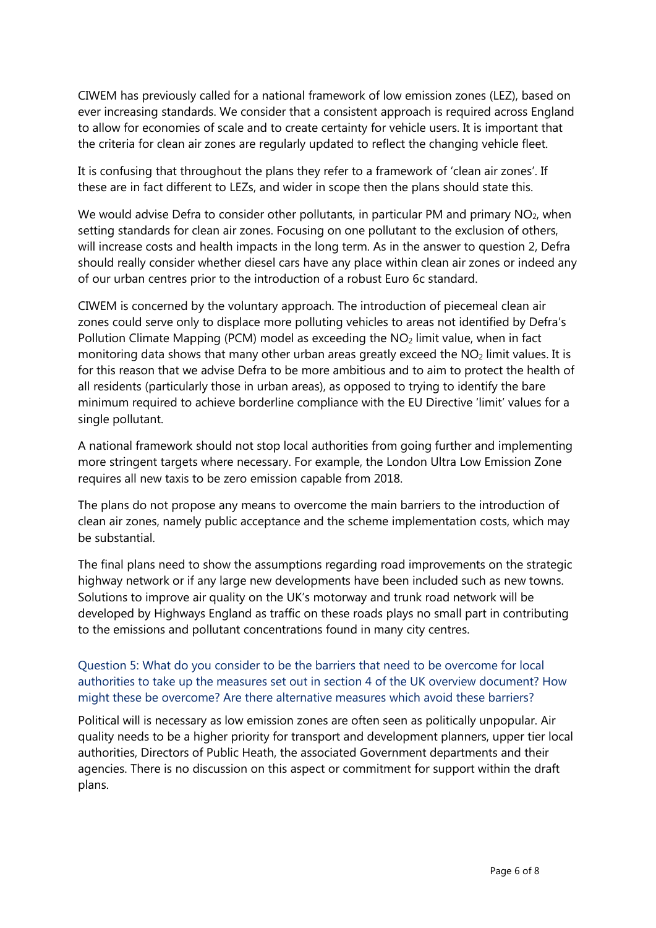CIWEM has previously called for a national framework of low emission zones (LEZ), based on ever increasing standards. We consider that a consistent approach is required across England to allow for economies of scale and to create certainty for vehicle users. It is important that the criteria for clean air zones are regularly updated to reflect the changing vehicle fleet.

It is confusing that throughout the plans they refer to a framework of 'clean air zones'. If these are in fact different to LEZs, and wider in scope then the plans should state this.

We would advise Defra to consider other pollutants, in particular PM and primary NO<sub>2</sub>, when setting standards for clean air zones. Focusing on one pollutant to the exclusion of others, will increase costs and health impacts in the long term. As in the answer to question 2, Defra should really consider whether diesel cars have any place within clean air zones or indeed any of our urban centres prior to the introduction of a robust Euro 6c standard.

CIWEM is concerned by the voluntary approach. The introduction of piecemeal clean air zones could serve only to displace more polluting vehicles to areas not identified by Defra's Pollution Climate Mapping (PCM) model as exceeding the  $NO<sub>2</sub>$  limit value, when in fact monitoring data shows that many other urban areas greatly exceed the  $NO<sub>2</sub>$  limit values. It is for this reason that we advise Defra to be more ambitious and to aim to protect the health of all residents (particularly those in urban areas), as opposed to trying to identify the bare minimum required to achieve borderline compliance with the EU Directive 'limit' values for a single pollutant.

A national framework should not stop local authorities from going further and implementing more stringent targets where necessary. For example, the London Ultra Low Emission Zone requires all new taxis to be zero emission capable from 2018.

The plans do not propose any means to overcome the main barriers to the introduction of clean air zones, namely public acceptance and the scheme implementation costs, which may be substantial.

The final plans need to show the assumptions regarding road improvements on the strategic highway network or if any large new developments have been included such as new towns. Solutions to improve air quality on the UK's motorway and trunk road network will be developed by Highways England as traffic on these roads plays no small part in contributing to the emissions and pollutant concentrations found in many city centres.

## Question 5: What do you consider to be the barriers that need to be overcome for local authorities to take up the measures set out in section 4 of the UK overview document? How might these be overcome? Are there alternative measures which avoid these barriers?

Political will is necessary as low emission zones are often seen as politically unpopular. Air quality needs to be a higher priority for transport and development planners, upper tier local authorities, Directors of Public Heath, the associated Government departments and their agencies. There is no discussion on this aspect or commitment for support within the draft plans.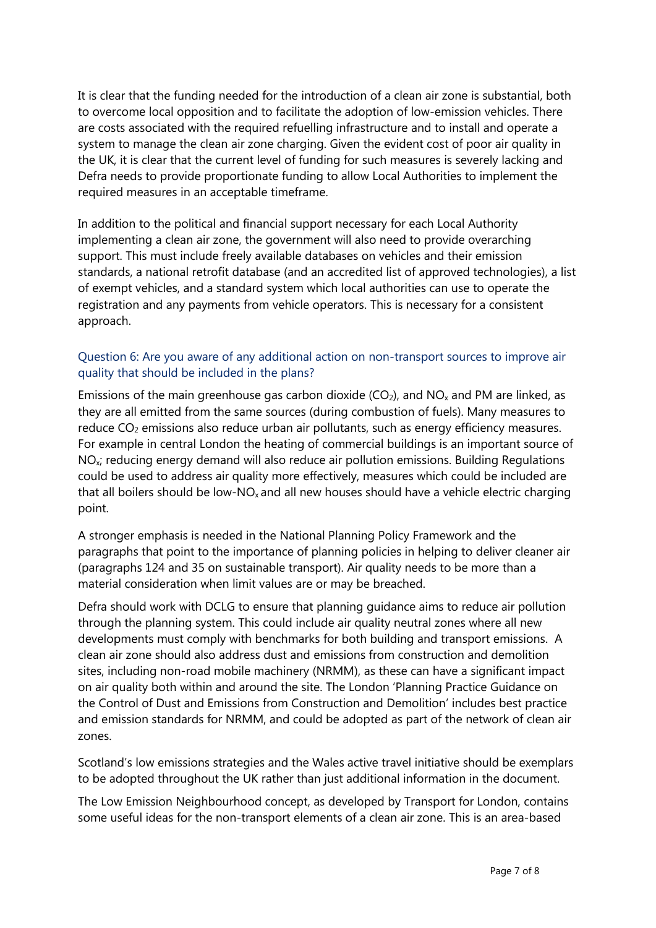It is clear that the funding needed for the introduction of a clean air zone is substantial, both to overcome local opposition and to facilitate the adoption of low-emission vehicles. There are costs associated with the required refuelling infrastructure and to install and operate a system to manage the clean air zone charging. Given the evident cost of poor air quality in the UK, it is clear that the current level of funding for such measures is severely lacking and Defra needs to provide proportionate funding to allow Local Authorities to implement the required measures in an acceptable timeframe.

In addition to the political and financial support necessary for each Local Authority implementing a clean air zone, the government will also need to provide overarching support. This must include freely available databases on vehicles and their emission standards, a national retrofit database (and an accredited list of approved technologies), a list of exempt vehicles, and a standard system which local authorities can use to operate the registration and any payments from vehicle operators. This is necessary for a consistent approach.

## Question 6: Are you aware of any additional action on non-transport sources to improve air quality that should be included in the plans?

Emissions of the main greenhouse gas carbon dioxide  $(CO<sub>2</sub>)$ , and NO<sub>x</sub> and PM are linked, as they are all emitted from the same sources (during combustion of fuels). Many measures to reduce  $CO<sub>2</sub>$  emissions also reduce urban air pollutants, such as energy efficiency measures. For example in central London the heating of commercial buildings is an important source of NOx; reducing energy demand will also reduce air pollution emissions. Building Regulations could be used to address air quality more effectively, measures which could be included are that all boilers should be low-NO<sub>x</sub> and all new houses should have a vehicle electric charging point.

A stronger emphasis is needed in the National Planning Policy Framework and the paragraphs that point to the importance of planning policies in helping to deliver cleaner air (paragraphs 124 and 35 on sustainable transport). Air quality needs to be more than a material consideration when limit values are or may be breached.

Defra should work with DCLG to ensure that planning guidance aims to reduce air pollution through the planning system. This could include air quality neutral zones where all new developments must comply with benchmarks for both building and transport emissions. A clean air zone should also address dust and emissions from construction and demolition sites, including non-road mobile machinery (NRMM), as these can have a significant impact on air quality both within and around the site. The London 'Planning Practice Guidance on the Control of Dust and Emissions from Construction and Demolition' includes best practice and emission standards for NRMM, and could be adopted as part of the network of clean air zones.

Scotland's low emissions strategies and the Wales active travel initiative should be exemplars to be adopted throughout the UK rather than just additional information in the document.

The Low Emission Neighbourhood concept, as developed by Transport for London, contains some useful ideas for the non-transport elements of a clean air zone. This is an area-based